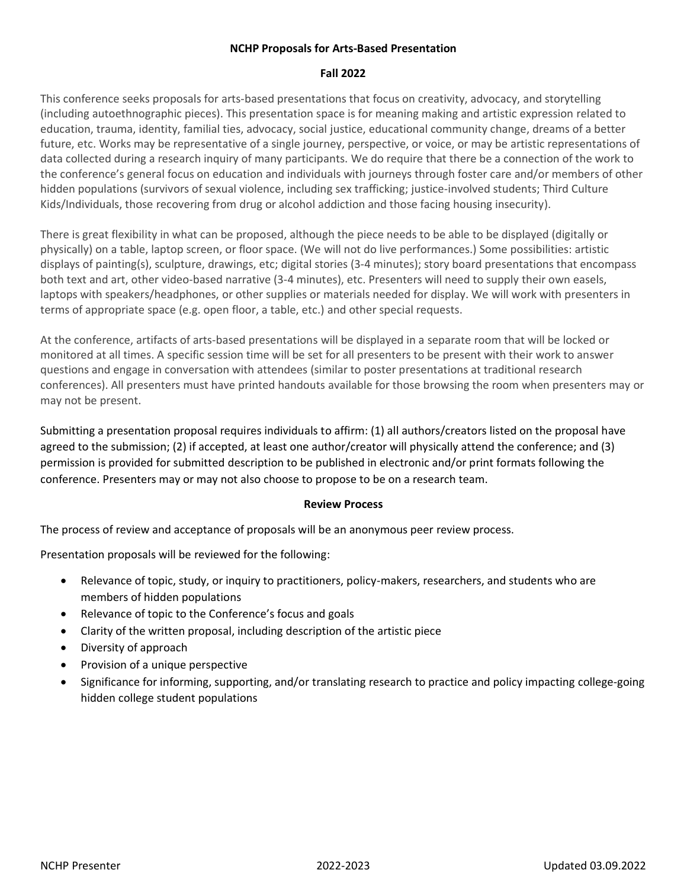## **NCHP Proposals for Arts-Based Presentation**

## **Fall 2022**

This conference seeks proposals for arts-based presentations that focus on creativity, advocacy, and storytelling (including autoethnographic pieces). This presentation space is for meaning making and artistic expression related to education, trauma, identity, familial ties, advocacy, social justice, educational community change, dreams of a better future, etc. Works may be representative of a single journey, perspective, or voice, or may be artistic representations of data collected during a research inquiry of many participants. We do require that there be a connection of the work to the conference's general focus on education and individuals with journeys through foster care and/or members of other hidden populations (survivors of sexual violence, including sex trafficking; justice-involved students; Third Culture Kids/Individuals, those recovering from drug or alcohol addiction and those facing housing insecurity).

There is great flexibility in what can be proposed, although the piece needs to be able to be displayed (digitally or physically) on a table, laptop screen, or floor space. (We will not do live performances.) Some possibilities: artistic displays of painting(s), sculpture, drawings, etc; digital stories (3-4 minutes); story board presentations that encompass both text and art, other video-based narrative (3-4 minutes), etc. Presenters will need to supply their own easels, laptops with speakers/headphones, or other supplies or materials needed for display. We will work with presenters in terms of appropriate space (e.g. open floor, a table, etc.) and other special requests.

At the conference, artifacts of arts-based presentations will be displayed in a separate room that will be locked or monitored at all times. A specific session time will be set for all presenters to be present with their work to answer questions and engage in conversation with attendees (similar to poster presentations at traditional research conferences). All presenters must have printed handouts available for those browsing the room when presenters may or may not be present.

Submitting a presentation proposal requires individuals to affirm: (1) all authors/creators listed on the proposal have agreed to the submission; (2) if accepted, at least one author/creator will physically attend the conference; and (3) permission is provided for submitted description to be published in electronic and/or print formats following the conference. Presenters may or may not also choose to propose to be on a research team.

#### **Review Process**

The process of review and acceptance of proposals will be an anonymous peer review process.

Presentation proposals will be reviewed for the following:

- Relevance of topic, study, or inquiry to practitioners, policy-makers, researchers, and students who are members of hidden populations
- Relevance of topic to the Conference's focus and goals
- Clarity of the written proposal, including description of the artistic piece
- Diversity of approach
- Provision of a unique perspective
- Significance for informing, supporting, and/or translating research to practice and policy impacting college-going hidden college student populations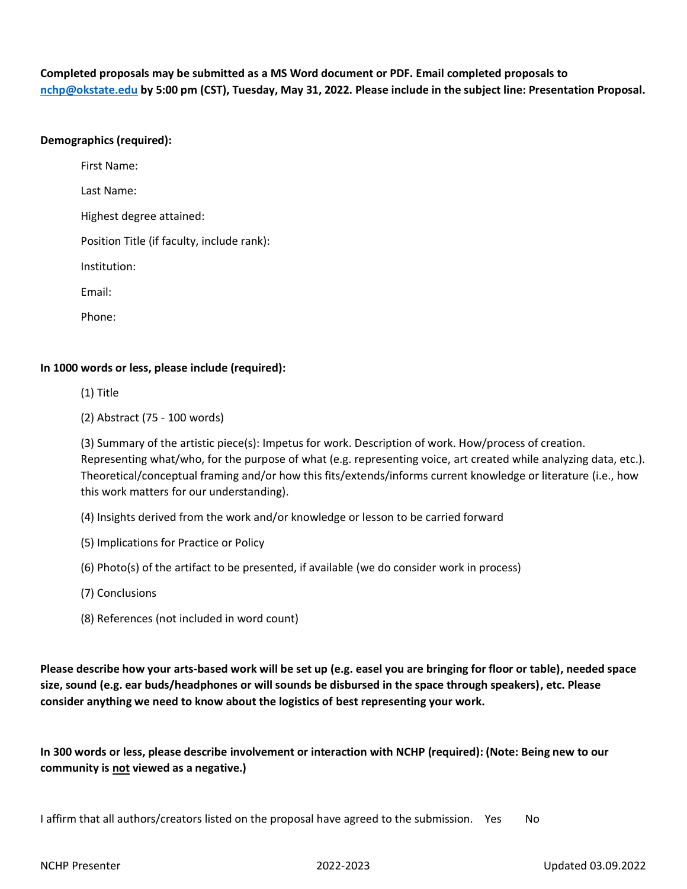**Completed proposals may be submitted as a MS Word document or PDF. Email completed proposals to [nchp@okstate.edu](mailto:nchp@okstate.edu) by 5:00 pm (CST), Tuesday, May 31, 2022. Please include in the subject line: Presentation Proposal.**

## **Demographics (required):**

First Name:

Last Name:

Highest degree attained:

Position Title (if faculty, include rank):

Institution:

Email:

Phone:

# **In 1000 words or less, please include (required):**

(1) Title

(2) Abstract (75 - 100 words)

(3) Summary of the artistic piece(s): Impetus for work. Description of work. How/process of creation. Representing what/who, for the purpose of what (e.g. representing voice, art created while analyzing data, etc.). Theoretical/conceptual framing and/or how this fits/extends/informs current knowledge or literature (i.e., how this work matters for our understanding).

(4) Insights derived from the work and/or knowledge or lesson to be carried forward

(5) Implications for Practice or Policy

(6) Photo(s) of the artifact to be presented, if available (we do consider work in process)

- (7) Conclusions
- (8) References (not included in word count)

**Please describe how your arts-based work will be set up (e.g. easel you are bringing for floor or table), needed space size, sound (e.g. ear buds/headphones or will sounds be disbursed in the space through speakers), etc. Please consider anything we need to know about the logistics of best representing your work.**

**In 300 words or less, please describe involvement or interaction with NCHP (required): (Note: Being new to our community is not viewed as a negative.)**

I affirm that all authors/creators listed on the proposal have agreed to the submission. Yes No